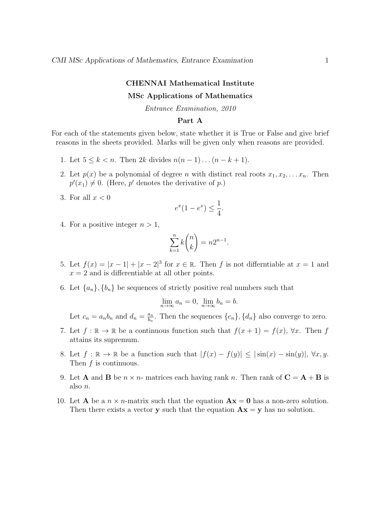#### CHENNAI Mathematical Institute

## MSc Applications of Mathematics

Entrance Examination, 2010

# Part A

For each of the statements given below, state whether it is True or False and give brief reasons in the sheets provided. Marks will be given only when reasons are provided.

- 1. Let  $5 \le k < n$ . Then  $2k$  divides  $n(n-1)...(n-k+1)$ .
- 2. Let  $p(x)$  be a polynomial of degree n with distinct real roots  $x_1, x_2, \ldots x_n$ . Then  $p'(x_1) \neq 0$ . (Here, p' denotes the derivative of p.)
- 3. For all  $x < 0$

$$
e^x(1 - e^x) \le \frac{1}{4}.
$$

4. For a positive integer  $n > 1$ ,

$$
\sum_{k=1}^{n} k \binom{n}{k} = n2^{n-1}.
$$

- 5. Let  $f(x) = |x-1| + |x-2|^3$  for  $x \in \mathbb{R}$ . Then f is not differntiable at  $x = 1$  and  $x = 2$  and is differentiable at all other points.
- 6. Let  $\{a_n\}, \{b_n\}$  be sequences of strictly positive real numbers such that

$$
\lim_{n \to \infty} a_n = 0, \ \lim_{n \to \infty} b_n = b.
$$

Let  $c_n = a_n b_n$  and  $d_n = \frac{a_n}{b_n}$  $\frac{a_n}{b_n}$ . Then the sequences  $\{c_n\}$ ,  $\{d_n\}$  also converge to zero.

- 7. Let  $f : \mathbb{R} \to \mathbb{R}$  be a continuous function such that  $f(x+1) = f(x)$ ,  $\forall x$ . Then f attains its supremum.
- 8. Let  $f : \mathbb{R} \to \mathbb{R}$  be a function such that  $|f(x) f(y)| \leq |\sin(x) \sin(y)|$ ,  $\forall x, y$ . Then f is continuous.
- 9. Let **A** and **B** be  $n \times n$  matrices each having rank n. Then rank of  $C = A + B$  is also n.
- 10. Let **A** be a  $n \times n$ -matrix such that the equation  $\mathbf{A}\mathbf{x} = \mathbf{0}$  has a non-zero solution. Then there exists a vector **y** such that the equation  $\mathbf{A}\mathbf{x} = \mathbf{y}$  has no solution.